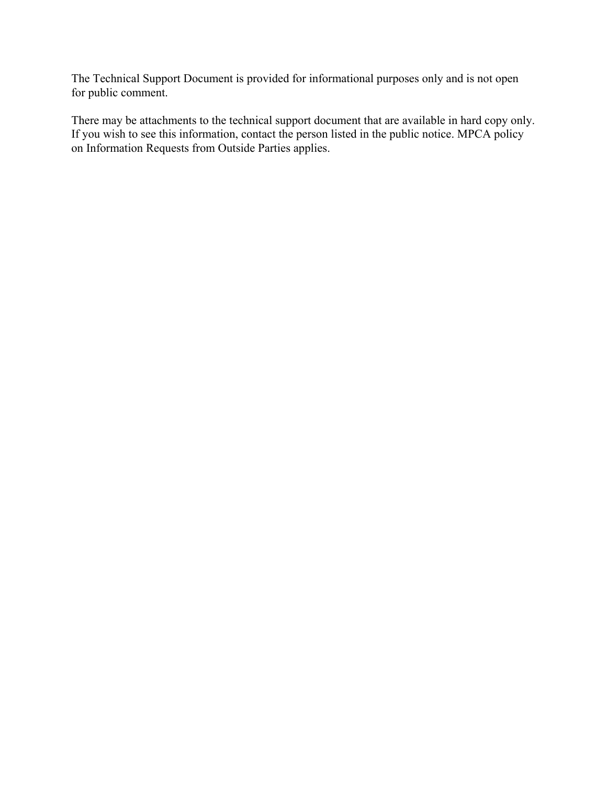The Technical Support Document is provided for informational purposes only and is not open for public comment.

There may be attachments to the technical support document that are available in hard copy only. If you wish to see this information, contact the person listed in the public notice. MPCA policy on Information Requests from Outside Parties applies.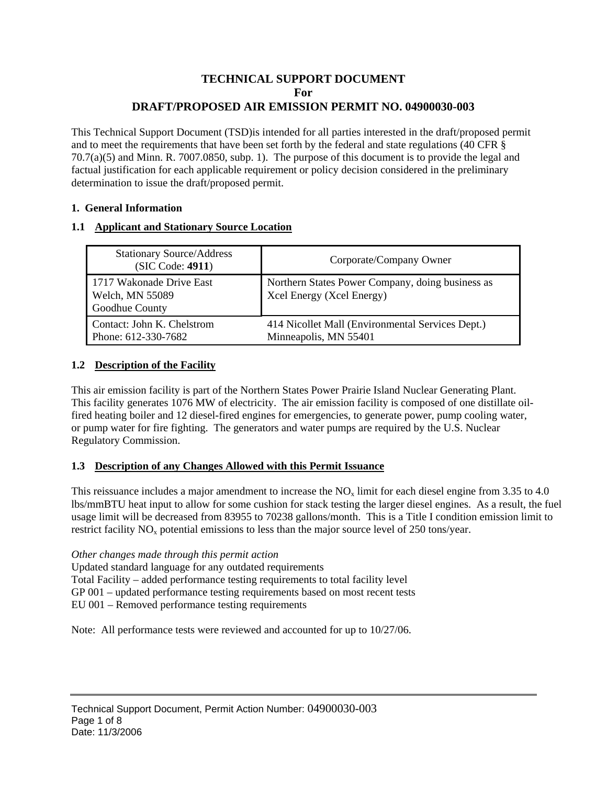## **TECHNICAL SUPPORT DOCUMENT For DRAFT/PROPOSED AIR EMISSION PERMIT NO. 04900030-003**

This Technical Support Document (TSD)is intended for all parties interested in the draft/proposed permit and to meet the requirements that have been set forth by the federal and state regulations (40 CFR § 70.7(a)(5) and Minn. R. 7007.0850, subp. 1). The purpose of this document is to provide the legal and factual justification for each applicable requirement or policy decision considered in the preliminary determination to issue the draft/proposed permit.

#### **1. General Information**

### **1.1 Applicant and Stationary Source Location**

| <b>Stationary Source/Address</b><br>(SIC Code: 4911)          | Corporate/Company Owner                                                       |
|---------------------------------------------------------------|-------------------------------------------------------------------------------|
| 1717 Wakonade Drive East<br>Welch, MN 55089<br>Goodhue County | Northern States Power Company, doing business as<br>Xcel Energy (Xcel Energy) |
| Contact: John K. Chelstrom<br>Phone: 612-330-7682             | 414 Nicollet Mall (Environmental Services Dept.)<br>Minneapolis, MN 55401     |

## **1.2 Description of the Facility**

This air emission facility is part of the Northern States Power Prairie Island Nuclear Generating Plant. This facility generates 1076 MW of electricity. The air emission facility is composed of one distillate oilfired heating boiler and 12 diesel-fired engines for emergencies, to generate power, pump cooling water, or pump water for fire fighting. The generators and water pumps are required by the U.S. Nuclear Regulatory Commission.

## **1.3 Description of any Changes Allowed with this Permit Issuance**

This reissuance includes a major amendment to increase the  $NO<sub>x</sub>$  limit for each diesel engine from 3.35 to 4.0 lbs/mmBTU heat input to allow for some cushion for stack testing the larger diesel engines. As a result, the fuel usage limit will be decreased from 83955 to 70238 gallons/month. This is a Title I condition emission limit to restrict facility  $NO<sub>x</sub>$  potential emissions to less than the major source level of 250 tons/year.

*Other changes made through this permit action*

Updated standard language for any outdated requirements

Total Facility – added performance testing requirements to total facility level

GP 001 – updated performance testing requirements based on most recent tests

EU 001 – Removed performance testing requirements

Note: All performance tests were reviewed and accounted for up to 10/27/06.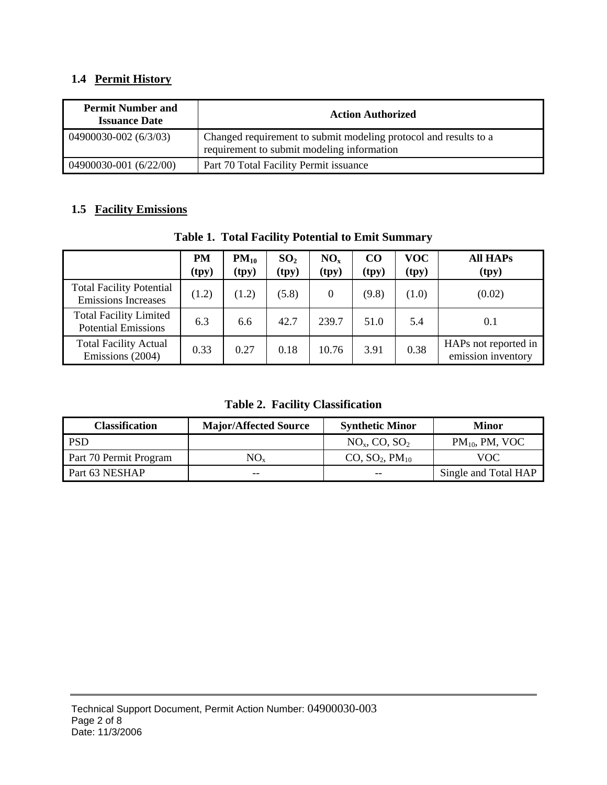# **1.4 Permit History**

| <b>Permit Number and</b><br><b>Issuance Date</b> | <b>Action Authorized</b>                                                                                       |
|--------------------------------------------------|----------------------------------------------------------------------------------------------------------------|
| 04900030-002 (6/3/03)                            | Changed requirement to submit modeling protocol and results to a<br>requirement to submit modeling information |
| 04900030-001 (6/22/00)                           | Part 70 Total Facility Permit issuance                                                                         |

# **1.5 Facility Emissions**

|                                                               | <b>PM</b><br>(tpy) | $PM_{10}$<br>(tpy) | SO <sub>2</sub><br>(tpy) | $NO_{x}$<br>(tpy) | $\rm CO$<br>(tpy) | VOC-<br>(tpy) | <b>All HAPs</b><br>(tpy)                   |
|---------------------------------------------------------------|--------------------|--------------------|--------------------------|-------------------|-------------------|---------------|--------------------------------------------|
| <b>Total Facility Potential</b><br><b>Emissions Increases</b> | (1.2)              | (1.2)              | (5.8)                    | 0                 | (9.8)             | (1.0)         | (0.02)                                     |
| <b>Total Facility Limited</b><br><b>Potential Emissions</b>   | 6.3                | 6.6                | 42.7                     | 239.7             | 51.0              | 5.4           | 0.1                                        |
| <b>Total Facility Actual</b><br>Emissions (2004)              | 0.33               | 0.27               | 0.18                     | 10.76             | 3.91              | 0.38          | HAPs not reported in<br>emission inventory |

**Table 1. Total Facility Potential to Emit Summary** 

**Table 2. Facility Classification** 

| <b>Classification</b>  | <b>Major/Affected Source</b> | <b>Synthetic Minor</b>                 | Minor                |
|------------------------|------------------------------|----------------------------------------|----------------------|
| <b>PSD</b>             |                              | $NOx$ , CO, SO <sub>2</sub>            | $PM_{10}$ , PM, VOC  |
| Part 70 Permit Program | NO <sub>x</sub>              | CO, SO <sub>2</sub> , PM <sub>10</sub> | VOC.                 |
| Part 63 NESHAP         | $- -$                        | $- -$                                  | Single and Total HAP |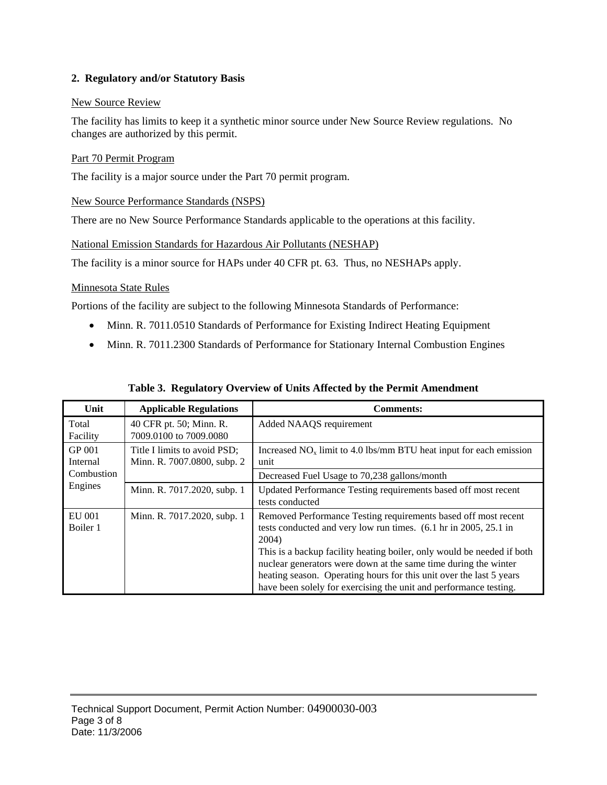#### **2. Regulatory and/or Statutory Basis**

#### New Source Review

The facility has limits to keep it a synthetic minor source under New Source Review regulations. No changes are authorized by this permit.

#### Part 70 Permit Program

The facility is a major source under the Part 70 permit program.

#### New Source Performance Standards (NSPS)

There are no New Source Performance Standards applicable to the operations at this facility.

#### National Emission Standards for Hazardous Air Pollutants (NESHAP)

The facility is a minor source for HAPs under 40 CFR pt. 63. Thus, no NESHAPs apply.

### Minnesota State Rules

Portions of the facility are subject to the following Minnesota Standards of Performance:

- Minn. R. 7011.0510 Standards of Performance for Existing Indirect Heating Equipment
- Minn. R. 7011.2300 Standards of Performance for Stationary Internal Combustion Engines

| Unit               | <b>Applicable Regulations</b>                               | <b>Comments:</b>                                                                                                                                                                                                                                                                                                                                                                                                                     |
|--------------------|-------------------------------------------------------------|--------------------------------------------------------------------------------------------------------------------------------------------------------------------------------------------------------------------------------------------------------------------------------------------------------------------------------------------------------------------------------------------------------------------------------------|
| Total<br>Facility  | 40 CFR pt. 50; Minn. R.<br>7009.0100 to 7009.0080           | Added NAAQS requirement                                                                                                                                                                                                                                                                                                                                                                                                              |
| GP 001<br>Internal | Title I limits to avoid PSD;<br>Minn. R. 7007.0800, subp. 2 | Increased $NOx$ limit to 4.0 lbs/mm BTU heat input for each emission<br>unit                                                                                                                                                                                                                                                                                                                                                         |
| Combustion         |                                                             | Decreased Fuel Usage to 70,238 gallons/month                                                                                                                                                                                                                                                                                                                                                                                         |
| Engines            | Minn. R. 7017.2020, subp. 1                                 | Updated Performance Testing requirements based off most recent<br>tests conducted                                                                                                                                                                                                                                                                                                                                                    |
| EU 001<br>Boiler 1 | Minn. R. 7017.2020, subp. 1                                 | Removed Performance Testing requirements based off most recent<br>tests conducted and very low run times. (6.1 hr in 2005, 25.1 in<br>2004)<br>This is a backup facility heating boiler, only would be needed if both<br>nuclear generators were down at the same time during the winter<br>heating season. Operating hours for this unit over the last 5 years<br>have been solely for exercising the unit and performance testing. |

#### **Table 3. Regulatory Overview of Units Affected by the Permit Amendment**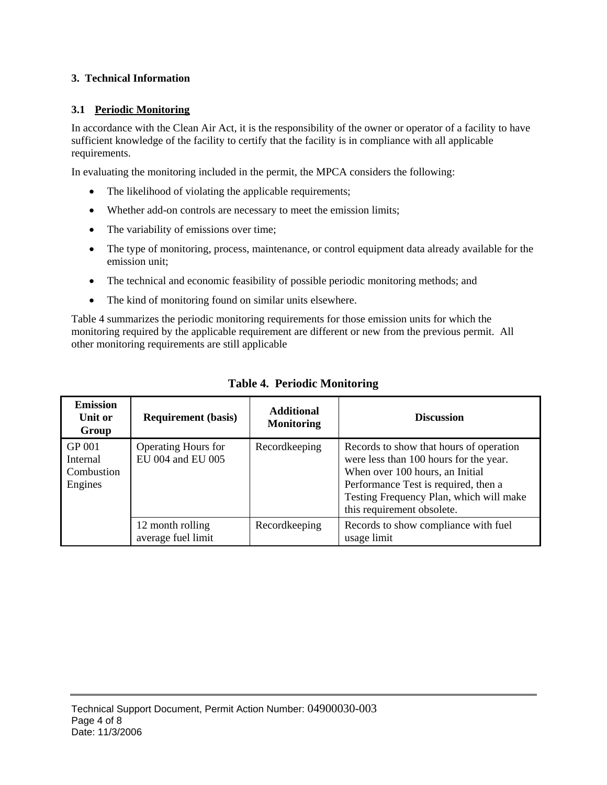#### **3. Technical Information**

#### **3.1 Periodic Monitoring**

In accordance with the Clean Air Act, it is the responsibility of the owner or operator of a facility to have sufficient knowledge of the facility to certify that the facility is in compliance with all applicable requirements.

In evaluating the monitoring included in the permit, the MPCA considers the following:

- The likelihood of violating the applicable requirements;
- Whether add-on controls are necessary to meet the emission limits;
- The variability of emissions over time;
- The type of monitoring, process, maintenance, or control equipment data already available for the emission unit;
- The technical and economic feasibility of possible periodic monitoring methods; and
- The kind of monitoring found on similar units elsewhere.

Table 4 summarizes the periodic monitoring requirements for those emission units for which the monitoring required by the applicable requirement are different or new from the previous permit. All other monitoring requirements are still applicable

| <b>Emission</b><br>Unit or<br>Group                | <b>Requirement</b> (basis)                      | Additional<br><b>Monitoring</b> | <b>Discussion</b>                                                                                                                                                                                                                     |
|----------------------------------------------------|-------------------------------------------------|---------------------------------|---------------------------------------------------------------------------------------------------------------------------------------------------------------------------------------------------------------------------------------|
| <b>GP 001</b><br>Internal<br>Combustion<br>Engines | <b>Operating Hours for</b><br>EU 004 and EU 005 | Recordkeeping                   | Records to show that hours of operation<br>were less than 100 hours for the year.<br>When over 100 hours, an Initial<br>Performance Test is required, then a<br>Testing Frequency Plan, which will make<br>this requirement obsolete. |
|                                                    | 12 month rolling<br>average fuel limit          | Recordkeeping                   | Records to show compliance with fuel<br>usage limit                                                                                                                                                                                   |

## **Table 4. Periodic Monitoring**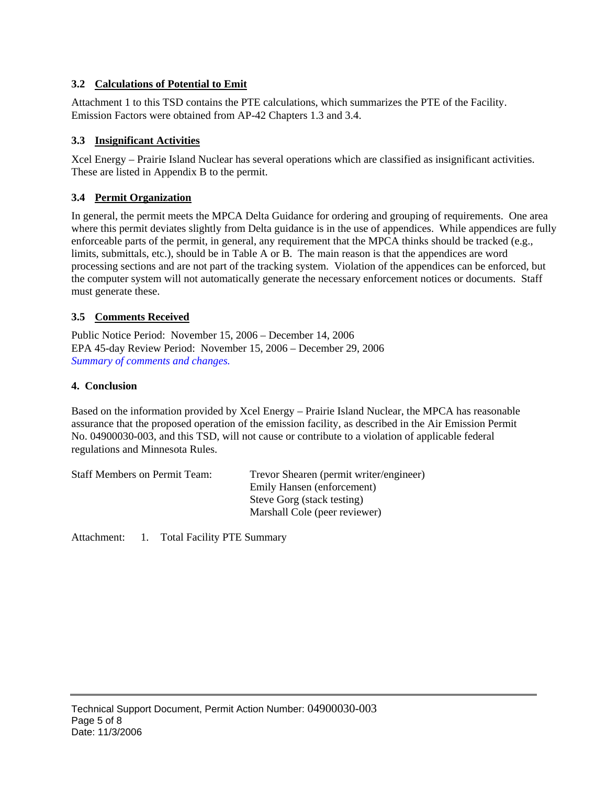## **3.2 Calculations of Potential to Emit**

Attachment 1 to this TSD contains the PTE calculations, which summarizes the PTE of the Facility. Emission Factors were obtained from AP-42 Chapters 1.3 and 3.4.

## **3.3 Insignificant Activities**

Xcel Energy – Prairie Island Nuclear has several operations which are classified as insignificant activities. These are listed in Appendix B to the permit.

## **3.4 Permit Organization**

In general, the permit meets the MPCA Delta Guidance for ordering and grouping of requirements. One area where this permit deviates slightly from Delta guidance is in the use of appendices. While appendices are fully enforceable parts of the permit, in general, any requirement that the MPCA thinks should be tracked (e.g., limits, submittals, etc.), should be in Table A or B. The main reason is that the appendices are word processing sections and are not part of the tracking system. Violation of the appendices can be enforced, but the computer system will not automatically generate the necessary enforcement notices or documents. Staff must generate these.

## **3.5 Comments Received**

Public Notice Period: November 15, 2006 – December 14, 2006 EPA 45-day Review Period: November 15, 2006 – December 29, 2006 *Summary of comments and changes.*

#### **4. Conclusion**

Based on the information provided by Xcel Energy – Prairie Island Nuclear, the MPCA has reasonable assurance that the proposed operation of the emission facility, as described in the Air Emission Permit No. 04900030-003, and this TSD, will not cause or contribute to a violation of applicable federal regulations and Minnesota Rules.

| <b>Staff Members on Permit Team:</b> | Trevor Shearen (permit writer/engineer) |
|--------------------------------------|-----------------------------------------|
|                                      | Emily Hansen (enforcement)              |
|                                      | Steve Gorg (stack testing)              |
|                                      | Marshall Cole (peer reviewer)           |

Attachment: 1. Total Facility PTE Summary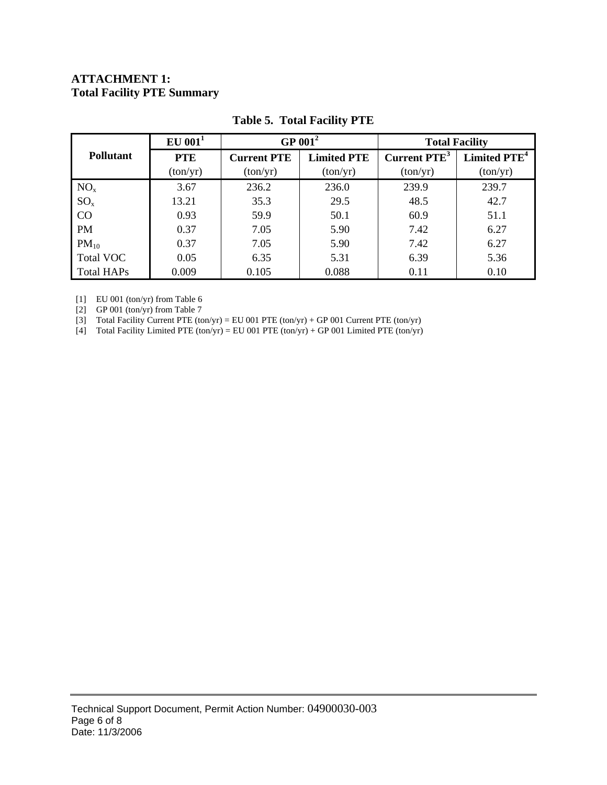## **ATTACHMENT 1: Total Facility PTE Summary**

|                   | $EU$ 001 <sup>1</sup> |                    | GP $001^2$         | <b>Total Facility</b>    |                          |  |
|-------------------|-----------------------|--------------------|--------------------|--------------------------|--------------------------|--|
| <b>Pollutant</b>  | <b>PTE</b>            | <b>Current PTE</b> | <b>Limited PTE</b> | Current PTE <sup>3</sup> | Limited PTE <sup>4</sup> |  |
|                   | (ton/yr)              | (ton/yr)           | (ton/yr)           | (ton/yr)                 | (ton/yr)                 |  |
| NO <sub>x</sub>   | 3.67                  | 236.2              | 236.0              | 239.9                    | 239.7                    |  |
| $SO_{x}$          | 13.21                 | 35.3               | 29.5               | 48.5                     | 42.7                     |  |
| CO                | 0.93                  | 59.9               | 50.1               | 60.9                     | 51.1                     |  |
| <b>PM</b>         | 0.37                  | 7.05               | 5.90               | 7.42                     | 6.27                     |  |
| $PM_{10}$         | 0.37                  | 7.05               | 5.90               | 7.42                     | 6.27                     |  |
| <b>Total VOC</b>  | 0.05                  | 6.35               | 5.31               | 6.39                     | 5.36                     |  |
| <b>Total HAPs</b> | 0.009                 | 0.105              | 0.088              | 0.11                     | 0.10                     |  |

## **Table 5. Total Facility PTE**

[1] EU 001 (ton/yr) from Table 6

[2] GP 001 (ton/yr) from Table 7

[3] Total Facility Current PTE (ton/yr) = EU 001 PTE (ton/yr) + GP 001 Current PTE (ton/yr)

[4] Total Facility Limited PTE (ton/yr) = EU 001 PTE (ton/yr) + GP 001 Limited PTE (ton/yr)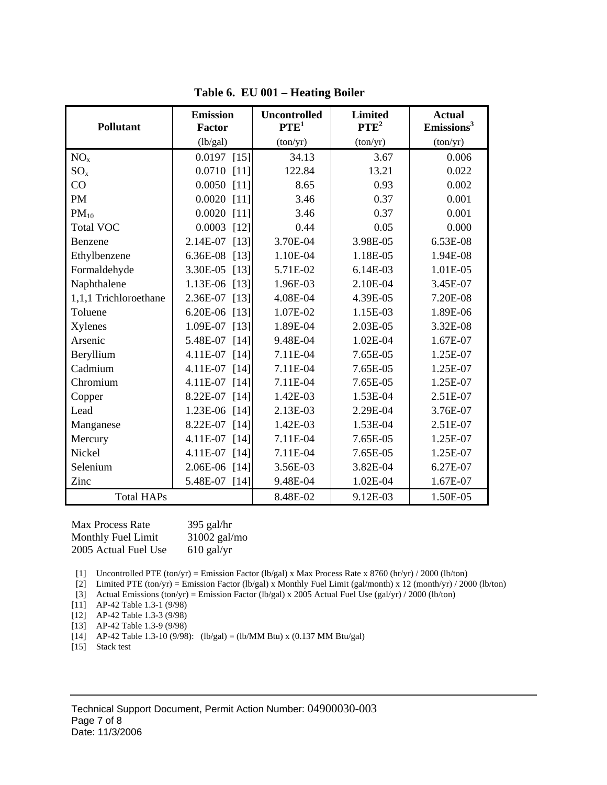| <b>Pollutant</b>      | <b>Emission</b><br>Factor | <b>Uncontrolled</b><br>PTE <sup>1</sup> | <b>Limited</b><br>$PTE^2$ | <b>Actual</b><br>Emissions <sup>3</sup> |
|-----------------------|---------------------------|-----------------------------------------|---------------------------|-----------------------------------------|
|                       | (lb/gal)                  | (ton/yr)                                | (ton/yr)                  | (ton/yr)                                |
| NO <sub>x</sub>       | $0.0197$ [15]             | 34.13                                   | 3.67                      | 0.006                                   |
| $SO_{x}$              | $0.0710$ [11]             | 122.84                                  | 13.21                     | 0.022                                   |
| CO                    | $0.0050$ [11]             | 8.65                                    | 0.93                      | 0.002                                   |
| <b>PM</b>             | $0.0020$ [11]             | 3.46                                    | 0.37                      | 0.001                                   |
| $PM_{10}$             | $0.0020$ [11]             | 3.46                                    | 0.37                      | 0.001                                   |
| <b>Total VOC</b>      | $0.0003$ [12]             | 0.44                                    | 0.05                      | 0.000                                   |
| Benzene               | 2.14E-07 [13]             | 3.70E-04                                | 3.98E-05                  | 6.53E-08                                |
| Ethylbenzene          | 6.36E-08 [13]             | 1.10E-04                                | 1.18E-05                  | 1.94E-08                                |
| Formaldehyde          | 3.30E-05 [13]             | 5.71E-02                                | 6.14E-03                  | 1.01E-05                                |
| Naphthalene           | 1.13E-06 [13]             | 1.96E-03                                | 2.10E-04                  | 3.45E-07                                |
| 1,1,1 Trichloroethane | 2.36E-07 [13]             | 4.08E-04                                | 4.39E-05                  | 7.20E-08                                |
| Toluene               | 6.20E-06 [13]             | 1.07E-02                                | 1.15E-03                  | 1.89E-06                                |
| Xylenes               | 1.09E-07 [13]             | 1.89E-04                                | 2.03E-05                  | 3.32E-08                                |
| Arsenic               | 5.48E-07 [14]             | 9.48E-04                                | 1.02E-04                  | 1.67E-07                                |
| Beryllium             | 4.11E-07 [14]             | 7.11E-04                                | 7.65E-05                  | 1.25E-07                                |
| Cadmium               | 4.11E-07 [14]             | 7.11E-04                                | 7.65E-05                  | 1.25E-07                                |
| Chromium              | 4.11E-07 [14]             | 7.11E-04                                | 7.65E-05                  | 1.25E-07                                |
| Copper                | 8.22E-07 [14]             | 1.42E-03                                | 1.53E-04                  | 2.51E-07                                |
| Lead                  | 1.23E-06 [14]             | 2.13E-03                                | 2.29E-04                  | 3.76E-07                                |
| Manganese             | 8.22E-07 [14]             | 1.42E-03                                | 1.53E-04                  | 2.51E-07                                |
| Mercury               | 4.11E-07 [14]             | 7.11E-04                                | 7.65E-05                  | 1.25E-07                                |
| <b>Nickel</b>         | 4.11E-07 [14]             | 7.11E-04                                | 7.65E-05                  | 1.25E-07                                |
| Selenium              | 2.06E-06 [14]             | 3.56E-03                                | 3.82E-04                  | 6.27E-07                                |
| Zinc                  | 5.48E-07 [14]             | 9.48E-04                                | 1.02E-04                  | 1.67E-07                                |
| <b>Total HAPs</b>     |                           | 8.48E-02                                | 9.12E-03                  | 1.50E-05                                |

**Table 6. EU 001 – Heating Boiler** 

Max Process Rate 395 gal/hr Monthly Fuel Limit 31002 gal/mo 2005 Actual Fuel Use 610 gal/yr

[1] Uncontrolled PTE (ton/yr) = Emission Factor (lb/gal) x Max Process Rate x 8760 (hr/yr) / 2000 (lb/ton)

[2] Limited PTE (ton/yr) = Emission Factor (lb/gal) x Monthly Fuel Limit (gal/month) x 12 (month/yr) / 2000 (lb/ton)

[3] Actual Emissions (ton/yr) = Emission Factor (lb/gal) x 2005 Actual Fuel Use (gal/yr) / 2000 (lb/ton)

[11] AP-42 Table 1.3-1 (9/98)

[12] AP-42 Table 1.3-3 (9/98)

[13] AP-42 Table 1.3-9 (9/98)

[14] AP-42 Table 1.3-10 (9/98): (lb/gal) = (lb/MM Btu) x (0.137 MM Btu/gal)

[15] Stack test